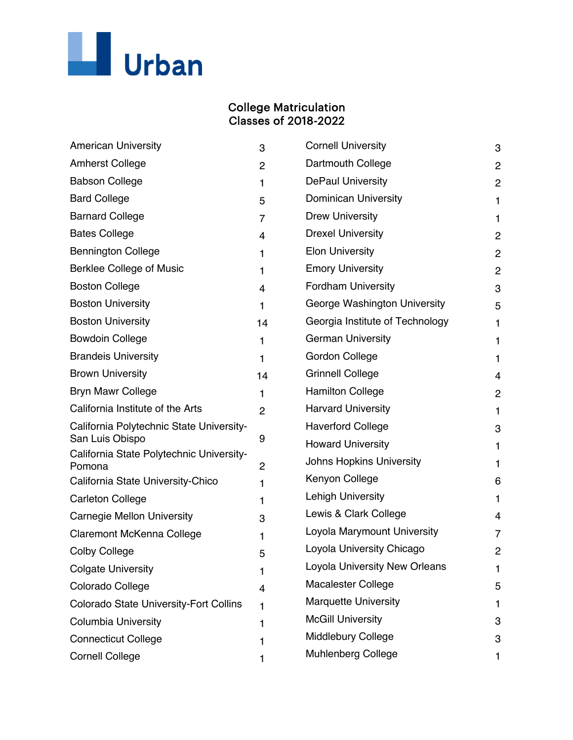

## College Matriculation Classes of 2018-2022

| <b>American University</b>                                  | 3              | <b>Cornell University</b>       | 3              |
|-------------------------------------------------------------|----------------|---------------------------------|----------------|
| <b>Amherst College</b>                                      | $\overline{2}$ | Dartmouth College               | $\overline{c}$ |
| <b>Babson College</b>                                       | $\mathbf{1}$   | <b>DePaul University</b>        | $\overline{c}$ |
| <b>Bard College</b>                                         | 5              | <b>Dominican University</b>     | 1              |
| <b>Barnard College</b>                                      | $\overline{7}$ | <b>Drew University</b>          | 1              |
| <b>Bates College</b>                                        | 4              | <b>Drexel University</b>        | $\mathbf{2}$   |
| <b>Bennington College</b>                                   | 1              | <b>Elon University</b>          | 2              |
| <b>Berklee College of Music</b>                             | 1              | <b>Emory University</b>         | $\overline{c}$ |
| <b>Boston College</b>                                       | 4              | <b>Fordham University</b>       | 3              |
| <b>Boston University</b>                                    | $\mathbf{1}$   | George Washington University    | 5              |
| <b>Boston University</b>                                    | 14             | Georgia Institute of Technology | 1              |
| <b>Bowdoin College</b>                                      | 1              | <b>German University</b>        | 1              |
| <b>Brandeis University</b>                                  | 1              | Gordon College                  | 1              |
| <b>Brown University</b>                                     | 14             | <b>Grinnell College</b>         | 4              |
| <b>Bryn Mawr College</b>                                    | 1              | <b>Hamilton College</b>         | $\overline{c}$ |
| California Institute of the Arts                            | $\overline{2}$ | <b>Harvard University</b>       | 1              |
| California Polytechnic State University-                    |                | <b>Haverford College</b>        | 3              |
| San Luis Obispo<br>California State Polytechnic University- | 9              | <b>Howard University</b>        | 1              |
| Pomona                                                      | 2              | <b>Johns Hopkins University</b> | 1              |
| California State University-Chico                           | 1              | Kenyon College                  | 6              |
| <b>Carleton College</b>                                     | 1              | <b>Lehigh University</b>        | 1              |
| <b>Carnegie Mellon University</b>                           | 3              | Lewis & Clark College           | 4              |
| <b>Claremont McKenna College</b>                            | 1              | Loyola Marymount University     | 7              |
| <b>Colby College</b>                                        | 5              | Loyola University Chicago       | $\mathbf{2}$   |
| <b>Colgate University</b>                                   | 1              | Loyola University New Orleans   | 1              |
| Colorado College                                            | 4              | <b>Macalester College</b>       | 5              |
| <b>Colorado State University-Fort Collins</b>               | 1              | <b>Marquette University</b>     | 1              |
| <b>Columbia University</b>                                  | 1              | <b>McGill University</b>        | 3              |
| <b>Connecticut College</b>                                  | 1              | <b>Middlebury College</b>       | 3              |
| <b>Cornell College</b>                                      | 1              | <b>Muhlenberg College</b>       | 1              |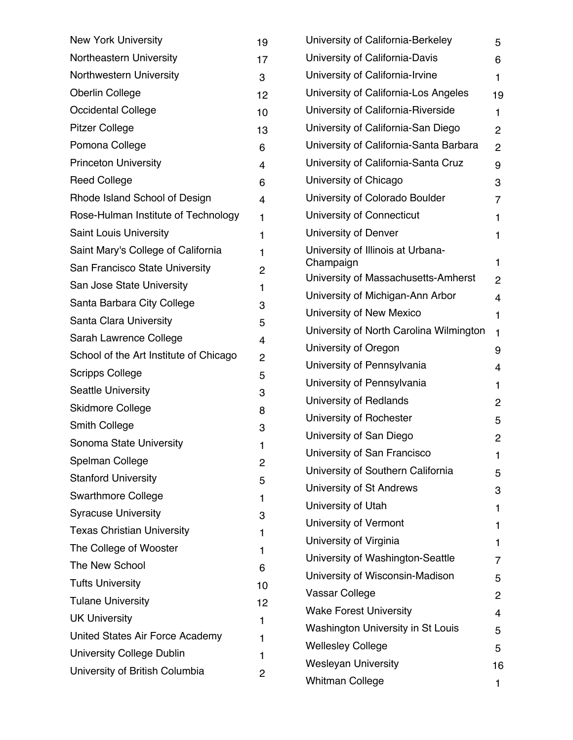| <b>New York University</b>             | 19             | University of Calif                      |
|----------------------------------------|----------------|------------------------------------------|
| Northeastern University                | 17             | University of Calif                      |
| Northwestern University                | 3              | University of Calif                      |
| <b>Oberlin College</b>                 | 12             | University of Calif                      |
| Occidental College                     | 10             | University of Calif                      |
| <b>Pitzer College</b>                  | 13             | University of Calif                      |
| Pomona College                         | 6              | University of Calif                      |
| <b>Princeton University</b>            | 4              | University of Calif                      |
| <b>Reed College</b>                    | 6              | University of Chic                       |
| Rhode Island School of Design          | 4              | University of Colc                       |
| Rose-Hulman Institute of Technology    | 1              | University of Con                        |
| <b>Saint Louis University</b>          | 1              | University of Den                        |
| Saint Mary's College of California     | 1              | University of Illinc                     |
| San Francisco State University         | 2              | Champaign                                |
| San Jose State University              | 1              | University of Mas                        |
| Santa Barbara City College             | 3              | University of Mich                       |
| Santa Clara University                 | 5              | University of New                        |
| Sarah Lawrence College                 | 4              | University of Nort                       |
| School of the Art Institute of Chicago | $\overline{c}$ | University of Oreg                       |
| <b>Scripps College</b>                 | 5              | University of Pen                        |
| <b>Seattle University</b>              | 3              | University of Pen                        |
| <b>Skidmore College</b>                | 8              | University of Red                        |
| <b>Smith College</b>                   | 3              | University of Rocl                       |
| Sonoma State University                | 1              | University of San                        |
| Spelman College                        | 2              | University of San                        |
| <b>Stanford University</b>             | 5              | University of Sout                       |
| <b>Swarthmore College</b>              | 1              | University of St A<br>University of Utah |
| <b>Syracuse University</b>             | 3              | University of Verr                       |
| <b>Texas Christian University</b>      | 1              | University of Virgi                      |
| The College of Wooster                 | 1              | University of Was                        |
| The New School                         | 6              | University of Wiso                       |
| <b>Tufts University</b>                | 10             | Vassar College                           |
| <b>Tulane University</b>               | 12             | <b>Wake Forest Univ</b>                  |
| <b>UK University</b>                   | 1              | <b>Washington Unive</b>                  |
| United States Air Force Academy        | 1              | <b>Wellesley College</b>                 |
| <b>University College Dublin</b>       | 1              | <b>Wesleyan Univers</b>                  |
| University of British Columbia         | 2              | <b>Whitman College</b>                   |
|                                        |                |                                          |

| University of California-Berkeley              | 5              |  |
|------------------------------------------------|----------------|--|
| University of California-Davis                 | 6              |  |
| University of California-Irvine                | 1              |  |
| University of California-Los Angeles           | 19             |  |
| University of California-Riverside             | 1              |  |
| University of California-San Diego             | 2              |  |
| University of California-Santa Barbara         | 2              |  |
| University of California-Santa Cruz            | 9              |  |
| University of Chicago                          | 3              |  |
| University of Colorado Boulder                 | $\overline{7}$ |  |
| University of Connecticut                      | 1              |  |
| University of Denver                           | 1              |  |
| University of Illinois at Urbana-<br>Champaign | 1              |  |
| University of Massachusetts-Amherst            | 2              |  |
| University of Michigan-Ann Arbor               | 4              |  |
| University of New Mexico                       | $\mathbf{1}$   |  |
| University of North Carolina Wilmington        | 1              |  |
| University of Oregon                           | 9              |  |
| University of Pennsylvania                     | 4              |  |
| University of Pennsylvania                     | $\mathbf{1}$   |  |
| University of Redlands                         | 2              |  |
| University of Rochester                        | 5              |  |
| University of San Diego                        | 2              |  |
| University of San Francisco                    | 1              |  |
| University of Southern California              | 5              |  |
| University of St Andrews                       | 3              |  |
| University of Utah                             | 1              |  |
| University of Vermont                          | 1              |  |
| University of Virginia                         | 1              |  |
| University of Washington-Seattle               | 7              |  |
| University of Wisconsin-Madison                | 5              |  |
| Vassar College                                 | $\overline{2}$ |  |
| <b>Wake Forest University</b>                  | 4              |  |
| <b>Washington University in St Louis</b>       | 5              |  |
| <b>Wellesley College</b>                       | 5              |  |
| <b>Wesleyan University</b>                     |                |  |
| Whitman College                                |                |  |